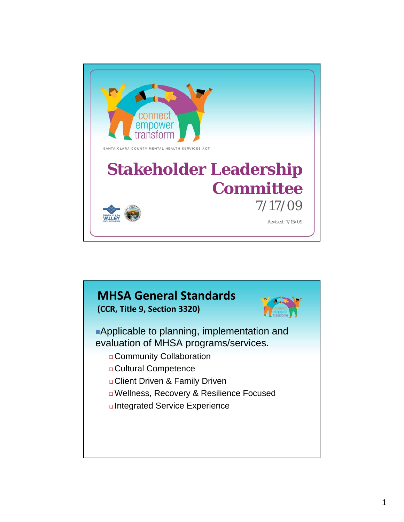

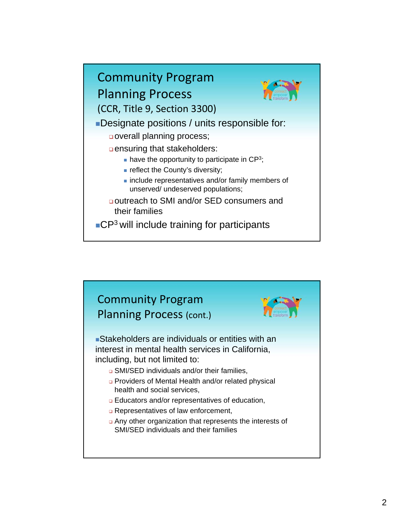

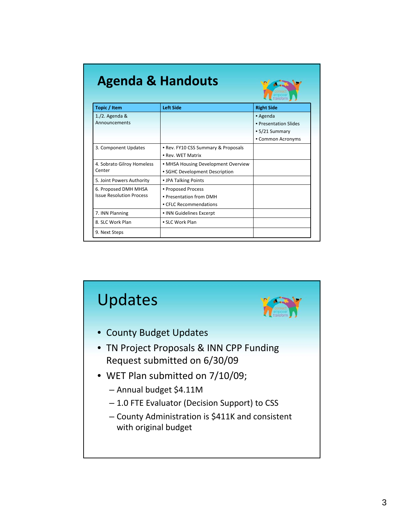| <b>Agenda &amp; Handouts</b>                            |                                     |                       |  |  |
|---------------------------------------------------------|-------------------------------------|-----------------------|--|--|
| Topic / Item                                            | <b>Left Side</b>                    | <b>Right Side</b>     |  |  |
| $1./2.$ Agenda &                                        |                                     | • Agenda              |  |  |
| Announcements                                           |                                     | • Presentation Slides |  |  |
|                                                         |                                     | • 5/21 Summary        |  |  |
|                                                         |                                     | • Common Acronyms     |  |  |
| 3. Component Updates                                    | . Rev. FY10 CSS Summary & Proposals |                       |  |  |
|                                                         | . Rev. WFT Matrix                   |                       |  |  |
| 4. Sobrato Gilroy Homeless<br>Center                    | • MHSA Housing Development Overview |                       |  |  |
|                                                         | • SGHC Development Description      |                       |  |  |
| 5. Joint Powers Authority                               | • JPA Talking Points                |                       |  |  |
| 6. Proposed DMH MHSA<br><b>Issue Resolution Process</b> | • Proposed Process                  |                       |  |  |
|                                                         | • Presentation from DMH             |                       |  |  |
|                                                         | • CELC Recommendations              |                       |  |  |
| 7. INN Planning                                         | • INN Guidelines Excerpt            |                       |  |  |
| 8. SLC Work Plan                                        | • SLC Work Plan                     |                       |  |  |
| 9. Next Steps                                           |                                     |                       |  |  |

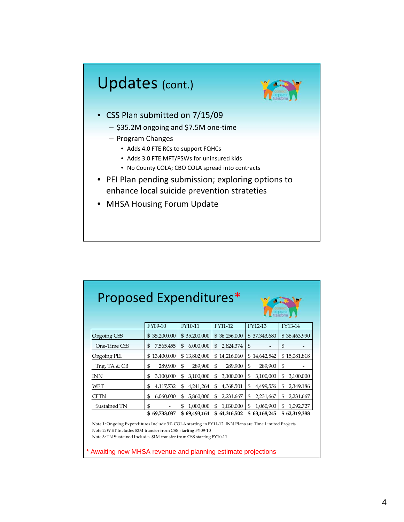

| Proposed Expenditures*<br>transform                                                                                                                                                                                                            |                 |                 |                 |                           |                 |  |  |  |  |
|------------------------------------------------------------------------------------------------------------------------------------------------------------------------------------------------------------------------------------------------|-----------------|-----------------|-----------------|---------------------------|-----------------|--|--|--|--|
|                                                                                                                                                                                                                                                | FY09-10         | FY10-11         | FY11-12         | FY12-13                   | FY13-14         |  |  |  |  |
| Ongoing CSS                                                                                                                                                                                                                                    | \$35,200,000    | \$35,200,000    | \$36,256,000    | \$37,343,680              | \$38,463,990    |  |  |  |  |
| One-Time CSS                                                                                                                                                                                                                                   | 7,565,455<br>\$ | 6,000,000<br>\$ | 2,824,374<br>\$ | \$                        | \$              |  |  |  |  |
| Ongoing PEI                                                                                                                                                                                                                                    | \$13,400,000    | \$13,802,000    | \$14,216,060    | \$14,642,542              | \$15,081,818    |  |  |  |  |
| Tng, TA & CB                                                                                                                                                                                                                                   | \$<br>289,900   | \$<br>289,900   | \$<br>289,900   | $\mathfrak{S}$<br>289,900 | \$              |  |  |  |  |
| <b>INN</b>                                                                                                                                                                                                                                     | 3,100,000<br>\$ | 3,100,000<br>\$ | \$<br>3,100,000 | 3,100,000<br>\$           | \$<br>3,100,000 |  |  |  |  |
| WET                                                                                                                                                                                                                                            | 4,117,732<br>\$ | \$<br>4,241,264 | \$<br>4,368,501 | \$<br>4,499,556           | \$<br>2,349,186 |  |  |  |  |
| CFTN                                                                                                                                                                                                                                           | 6,060,000<br>\$ | \$<br>5,860,000 | \$<br>2,231,667 | \$<br>2,231,667           | \$<br>2,231,667 |  |  |  |  |
| Sustained TN                                                                                                                                                                                                                                   | \$              | 1,000,000<br>\$ | 1,030,000<br>\$ | 1,060,900<br>\$           | \$<br>1,092,727 |  |  |  |  |
|                                                                                                                                                                                                                                                | \$69,733,087    | \$69,493,164    | \$64,316,502    | \$63,168,245              | \$62,319,388    |  |  |  |  |
| Note 1: Ongoing Expenditures Include 3% COLA starting in FY11-12. INN Plans are Time Limited Projects<br>Note 2: WET Includes \$2M transfer from CSS starting FY09-10<br>Note 3: TN Sustained Includes \$1M transfer from CSS starting FY10-11 |                 |                 |                 |                           |                 |  |  |  |  |

Awaiting new MHSA revenue and planning estimate projections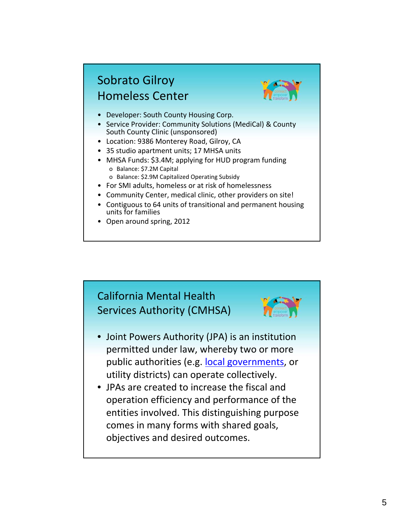### Sobrato Gilroy Homeless Center



- Developer: South County Housing Corp.
- Service Provider: Community Solutions (MediCal) & County South County Clinic (unsponsored)
- Location: 9386 Monterey Road, Gilroy, CA
- 35 studio apartment units; 17 MHSA units
- MHSA Funds: \$3.4M; applying for HUD program funding o Balance: \$7.2M Capital
	- o Balance: \$2.9M Capitalized Operating Subsidy
- For SMI adults, homeless or at risk of homelessness
- Community Center, medical clinic, other providers on site!
- Contiguous to 64 units of transitional and permanent housing units for families
- Open around spring, 2012



- Joint Powers Authority (JPA) is an institution permitted under law, whereby two or more public authorities (e.g. local governments, or utility districts) can operate collectively.
- JPAs are created to increase the fiscal and operation efficiency and performance of the entities involved. This distinguishing purpose comes in many forms with shared goals, objectives and desired outcomes.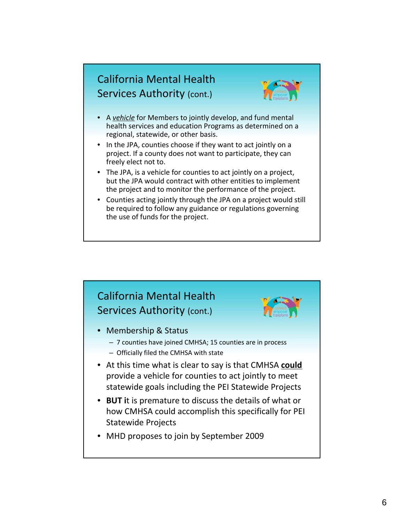#### California Mental Health Services Authority (cont.)



- A *vehicle* for Members to jointly develop, and fund mental health services and education Programs as determined on a regional, statewide, or other basis.
- In the JPA, counties choose if they want to act jointly on a project. If a county does not want to participate, they can freely elect not to.
- The JPA, is a vehicle for counties to act jointly on a project, but the JPA would contract with other entities to implement the project and to monitor the performance of the project.
- Counties acting jointly through the JPA on a project would still be required to follow any guidance or regulations governing the use of funds for the project.

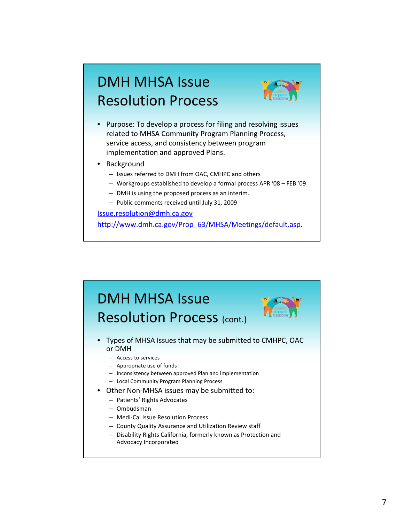# DMH MHSA Issue Resolution Process



- Purpose: To develop a process for filing and resolving issues related to MHSA Community Program Planning Process, service access, and consistency between program implementation and approved Plans.
- **Background** 
	- Issues referred to DMH from OAC, CMHPC and others
	- Workgroups established to develop a formal process APR '08 FEB '09
	- DMH is using the proposed process as an interim.
	- Public comments received until July 31, 2009

Issue.resolution@dmh.ca.gov http://www.dmh.ca.gov/Prop\_63/MHSA/Meetings/default.asp.

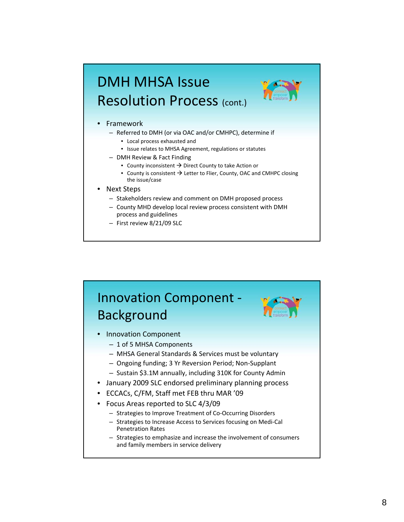# DMH MHSA Issue Resolution Process (cont.)



#### • Framework

- Referred to DMH (or via OAC and/or CMHPC), determine if
	- Local process exhausted and
	- Issue relates to MHSA Agreement, regulations or statutes
- DMH Review & Fact Finding
	- County inconsistent  $\rightarrow$  Direct County to take Action or
	- County is consistent  $\rightarrow$  Letter to Flier, County, OAC and CMHPC closing the issue/case
- Next Steps
	- Stakeholders review and comment on DMH proposed process
	- County MHD develop local review process consistent with DMH process and guidelines
	- First review 8/21/09 SLC

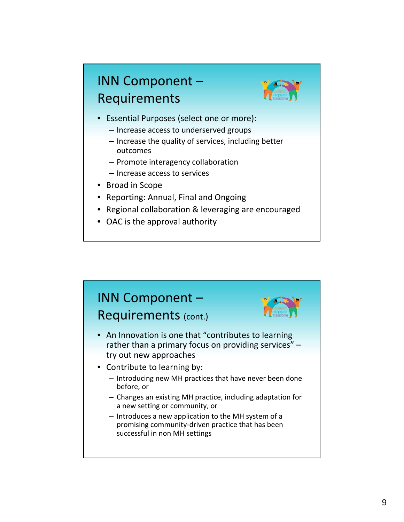# INN Component – Requirements



- Essential Purposes (select one or more):
	- Increase access to underserved groups
	- Increase the quality of services, including better outcomes
	- Promote interagency collaboration
	- Increase access to services
- Broad in Scope
- Reporting: Annual, Final and Ongoing
- Regional collaboration & leveraging are encouraged
- OAC is the approval authority

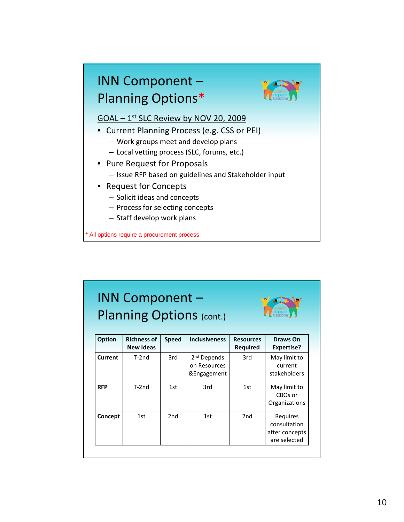

| <b>INN Component -</b><br>Planning Options (cont.)<br>transform |                                        |                 |                                                        |                              |                                                            |  |
|-----------------------------------------------------------------|----------------------------------------|-----------------|--------------------------------------------------------|------------------------------|------------------------------------------------------------|--|
| <b>Option</b>                                                   | <b>Richness of</b><br><b>New Ideas</b> | <b>Speed</b>    | <b>Inclusiveness</b>                                   | <b>Resources</b><br>Required | Draws On<br><b>Expertise?</b>                              |  |
| Current                                                         | $T-2nd$                                | 3rd             | 2 <sup>nd</sup> Depends<br>on Resources<br>&Engagement | 3rd                          | May limit to<br>current<br>stakeholders                    |  |
| <b>RFP</b>                                                      | $T-2nd$                                | 1st             | 3rd                                                    | 1st                          | May limit to<br>CBOs or<br>Organizations                   |  |
| Concept                                                         | 1st                                    | 2 <sub>nd</sub> | 1st                                                    | 2 <sub>nd</sub>              | Requires<br>consultation<br>after concepts<br>are selected |  |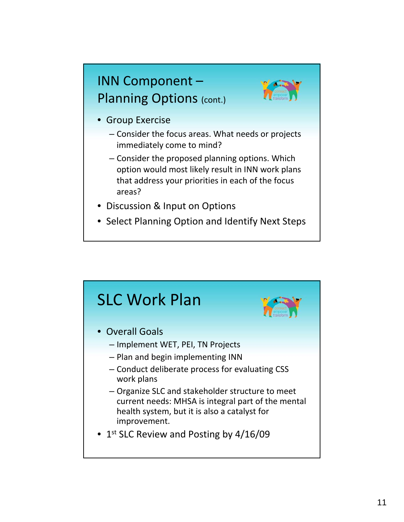## INN Component – Planning Options (cont.)



- Group Exercise
	- Consider the focus areas. What needs or projects immediately come to mind?
	- Consider the proposed planning options. Which option would most likely result in INN work plans that address your priorities in each of the focus areas?
- Discussion & Input on Options
- Select Planning Option and Identify Next Steps